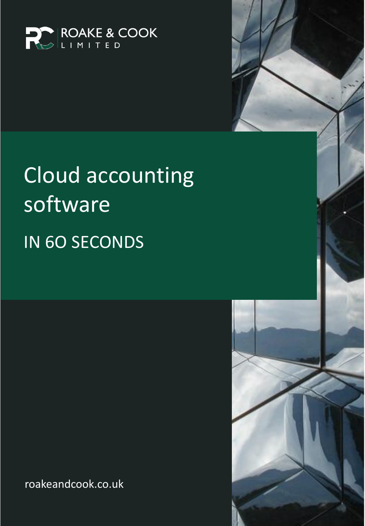

# Cloud accounting software IN 6O SECONDS

roakeandcook.co.uk

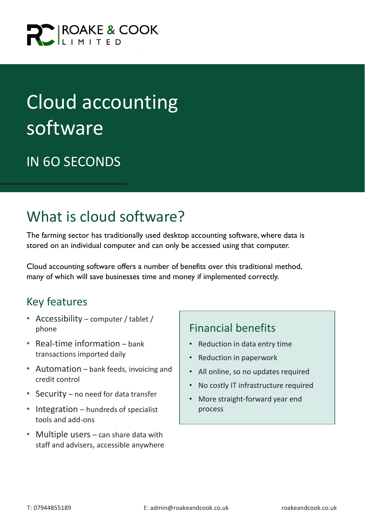

## Cloud accounting software

### IN 6O SECONDS

## What is cloud software?

The farming sector has traditionally used desktop accounting software, where data is stored on an individual computer and can only be accessed using that computer.

Cloud accounting software offers a number of benefits over this traditional method, many of which will save businesses time and money if implemented correctly.

#### Key features

- Accessibility computer / tablet / phone
- Real-time information bank transactions imported daily
- Automation bank feeds, invoicing and credit control
- Security no need for data transfer
- Integration hundreds of specialist tools and add-ons
- Multiple users can share data with staff and advisers, accessible anywhere

#### Financial benefits

- Reduction in data entry time
- Reduction in paperwork
- All online, so no updates required
- No costly IT infrastructure required
- More straight-forward year end process